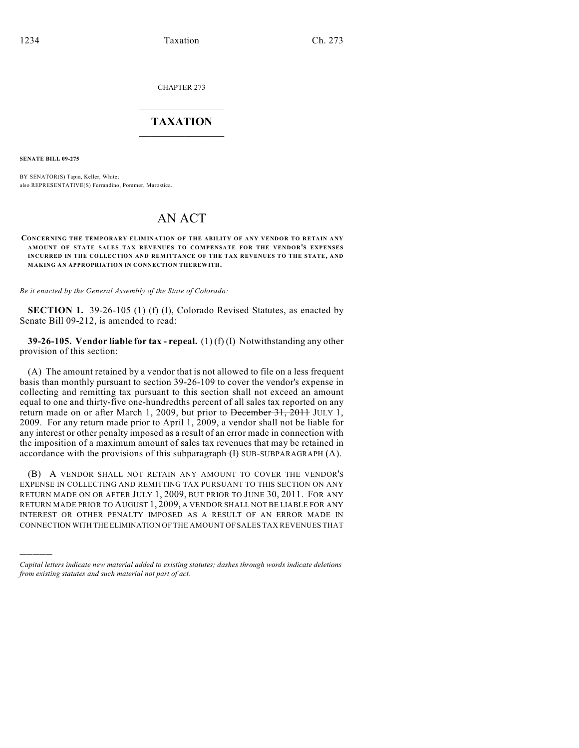CHAPTER 273

## $\overline{\phantom{a}}$  . The set of the set of the set of the set of the set of the set of the set of the set of the set of the set of the set of the set of the set of the set of the set of the set of the set of the set of the set o **TAXATION**  $\_$

**SENATE BILL 09-275**

)))))

BY SENATOR(S) Tapia, Keller, White; also REPRESENTATIVE(S) Ferrandino, Pommer, Marostica.

## AN ACT

**CONCERNING THE TEMPORARY ELIMINATION OF THE ABILITY OF ANY VENDOR TO RETAIN ANY AMOUNT OF STATE SALES TAX REVENUES TO COMPENSATE FOR THE VENDOR'S EXPENSES INCURRED IN THE COLLECTION AND REMITTANCE OF THE TAX REVENUES TO THE STATE, AND MAKING AN APPROPRIATION IN CONNECTION THEREWITH.**

*Be it enacted by the General Assembly of the State of Colorado:*

**SECTION 1.** 39-26-105 (1) (f) (I), Colorado Revised Statutes, as enacted by Senate Bill 09-212, is amended to read:

**39-26-105. Vendor liable for tax - repeal.** (1) (f) (I) Notwithstanding any other provision of this section:

(A) The amount retained by a vendor that is not allowed to file on a less frequent basis than monthly pursuant to section 39-26-109 to cover the vendor's expense in collecting and remitting tax pursuant to this section shall not exceed an amount equal to one and thirty-five one-hundredths percent of all sales tax reported on any return made on or after March 1, 2009, but prior to December 31, 2011 JULY 1, 2009. For any return made prior to April 1, 2009, a vendor shall not be liable for any interest or other penalty imposed as a result of an error made in connection with the imposition of a maximum amount of sales tax revenues that may be retained in accordance with the provisions of this subparagraph  $(H)$  SUB-SUBPARAGRAPH  $(A)$ .

(B) A VENDOR SHALL NOT RETAIN ANY AMOUNT TO COVER THE VENDOR'S EXPENSE IN COLLECTING AND REMITTING TAX PURSUANT TO THIS SECTION ON ANY RETURN MADE ON OR AFTER JULY 1, 2009, BUT PRIOR TO JUNE 30, 2011. FOR ANY RETURN MADE PRIOR TO AUGUST 1, 2009, A VENDOR SHALL NOT BE LIABLE FOR ANY INTEREST OR OTHER PENALTY IMPOSED AS A RESULT OF AN ERROR MADE IN CONNECTION WITH THE ELIMINATION OF THE AMOUNT OF SALES TAX REVENUES THAT

*Capital letters indicate new material added to existing statutes; dashes through words indicate deletions from existing statutes and such material not part of act.*